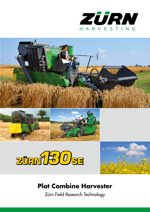









### **Plot Combine Harvester**

Zürn Field Research Technology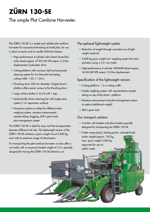# **ZÜRN 130-SE**

### The simple Plot Combine Harvester.

The ZÜRN 130-SE is a simple and reliable plot combine harvester for economical threshing of small plots, for use in plant nurseries and on smaller field trial stations.

- High-performance 4-cylinder John Deere PowerTech turbo diesel engine: 37 kW (50 HP) output, 2.2-litre displacement; hydrostatic drive
- Cutting platform with conveyor belt and pneumatic cleaning system for mix-free plot harvesting; cutting width: 1.25 / 1.50 m
- Threshing drum 350 mm diameter; hinged driver's platform offers easier access to the threshing drum
- Large surface shaker (1.8 m<sup>2</sup>) with 1 step
- Hydraulically driven cleaning fan with single-sieve system (1 m² separation surface)
- Numerous options to adapt for different tasks: weighing system, moisture measurement, sample taking, bagging, 600 L grain tank, plot management system

The ZÜRN 130-SE is ideal for easy and fast transportation between different trial sites. The lightweight version of the ZÜRN 130-SE achieves a gross weight of just 2,600 kg, even with its extensive range of attachments.

For transporting the plot combine harvester we also offer a car trailer with a maximum loaded weight of 3.5 t, specially designed for towing the ZÜRN 130-SE behind a car.

### The optional lightweight system

- Reduction of weight through consistent use of lightweight materials
- 2,600 kg gross weight incl. weighing system for transportation using a 3.5 t car trailer
- High-performance 4-cylinder YANMAR diesel engine: 36 kW (49 HP) output, 2.0-litre displacement

### Specification of the lightweight version

- Cutting platform: 1.5 m cutting width
- Simple weighing system with representative sample taking on top of the driver´s platform
- Moisture measurement and plot management system as option (additional weight)
- 600 L grain tank

#### Our transport solution

- A trailer with tandem axle (low-loader) specially designed for transporting the ZÜRN 130-SE
- Trailer ramps (pair), lashing points, unloaded (net) trailer weight approx. 745 kg, max. gross weight 3,500 kg, approved for use on public roads.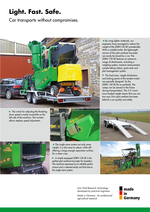## **Light. Fast. Safe.**

Car transports without compromises.



► The winch for adjusting the threshing drum speed is easily accessible on the left side of the machine. The variator allows stepless speed adjustment.





◄ The single-sieve system not only saves weight, it is also easy to adjust, while still offering a large enough separation surface for a clean crop.

► A simple equipped ZÜRN 130-SE is the perfect plot combine harvester for breeders. The machine impresses by its reliable performance and is cleaned easily and fast due to the single sieve system.

◄ By using lighter materials, our engineers have managed to reduce the weight of the ZÜRN130-SE considerably. With a suitable trailer, the lightweight version of this plot combine harvester can easily be towed by a car. The ZÜRN 130-SE features an extensive range of attachments, including a weighing system, moisture measurement, sample taking station, grain tank and plot management system.

▼ The load area, weight distribution and lashing points of the tandem trailer are specially designed. So the ZÜRN 130-SE fits on perfectly. The ramps can be stowed in the frame during transportation. The 3.5 t maximum loaded weight means that you can tow your Zürn plot combine harvester behind a car quickly and safely.



*Zürn Field Research Technology: developed by practical engineers.* 

*Made in Germany - for professional agricultural research.*